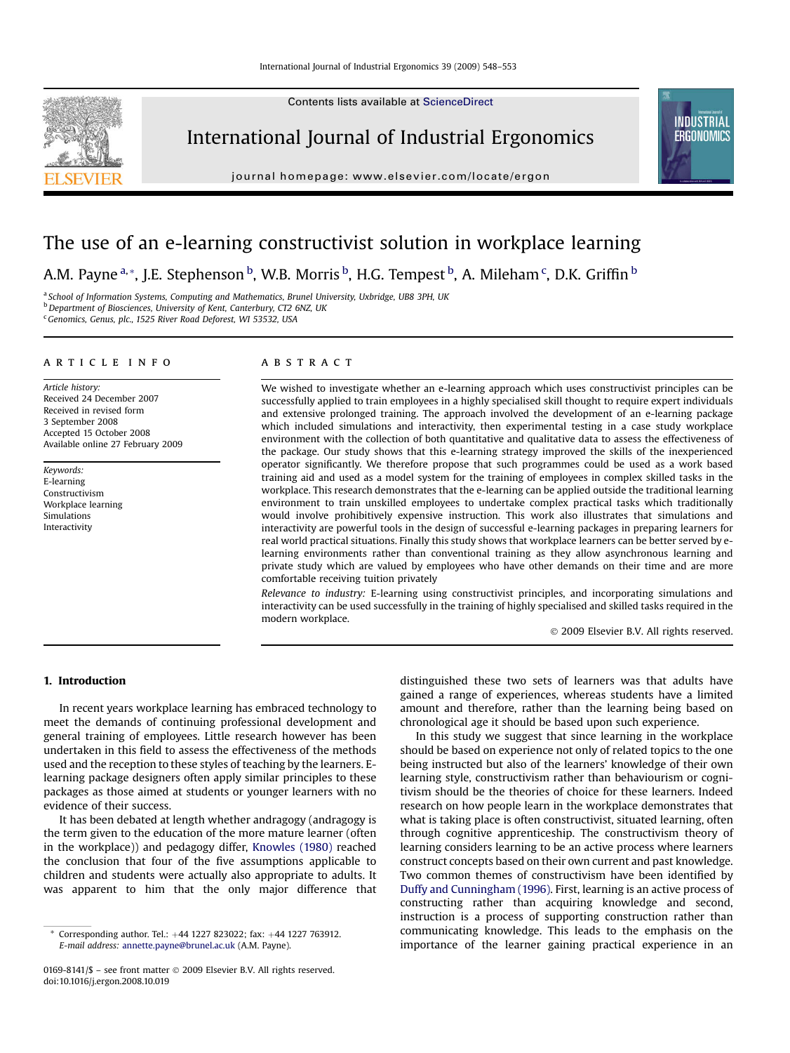Contents lists available at [ScienceDirect](www.sciencedirect.com/science/journal/01698141)



International Journal of Industrial Ergonomics

journal homepage: [www.elsevier.com/locate/ergon](http://www.elsevier.com/locate/ergon)

# **INDUSTRIAL ERGONOMICS**

## The use of an e-learning constructivist solution in workplace learning

A.M. Payne <sup>a,</sup>\*, J.E. Stephenson <sup>b</sup>, W.B. Morris <sup>b</sup>, H.G. Tempest <sup>b</sup>, A. Mileham <sup>c</sup>, D.K. Griffin <sup>b</sup>

<sup>a</sup> School of Information Systems, Computing and Mathematics, Brunel University, Uxbridge, UB8 3PH, UK <sup>b</sup> Department of Biosciences, University of Kent, Canterbury, CT2 6NZ, UK <sup>c</sup> Genomics, Genus, plc., 1525 River Road Deforest, WI 53532, USA

#### article info

Article history: Received 24 December 2007 Received in revised form 3 September 2008 Accepted 15 October 2008 Available online 27 February 2009

Keywords: E-learning Constructivism Workplace learning Simulations Interactivity

#### **ABSTRACT**

We wished to investigate whether an e-learning approach which uses constructivist principles can be successfully applied to train employees in a highly specialised skill thought to require expert individuals and extensive prolonged training. The approach involved the development of an e-learning package which included simulations and interactivity, then experimental testing in a case study workplace environment with the collection of both quantitative and qualitative data to assess the effectiveness of the package. Our study shows that this e-learning strategy improved the skills of the inexperienced operator significantly. We therefore propose that such programmes could be used as a work based training aid and used as a model system for the training of employees in complex skilled tasks in the workplace. This research demonstrates that the e-learning can be applied outside the traditional learning environment to train unskilled employees to undertake complex practical tasks which traditionally would involve prohibitively expensive instruction. This work also illustrates that simulations and interactivity are powerful tools in the design of successful e-learning packages in preparing learners for real world practical situations. Finally this study shows that workplace learners can be better served by elearning environments rather than conventional training as they allow asynchronous learning and private study which are valued by employees who have other demands on their time and are more comfortable receiving tuition privately

Relevance to industry: E-learning using constructivist principles, and incorporating simulations and interactivity can be used successfully in the training of highly specialised and skilled tasks required in the modern workplace.

- 2009 Elsevier B.V. All rights reserved.

#### 1. Introduction

In recent years workplace learning has embraced technology to meet the demands of continuing professional development and general training of employees. Little research however has been undertaken in this field to assess the effectiveness of the methods used and the reception to these styles of teaching by the learners. Elearning package designers often apply similar principles to these packages as those aimed at students or younger learners with no evidence of their success.

It has been debated at length whether andragogy (andragogy is the term given to the education of the more mature learner (often in the workplace)) and pedagogy differ, [Knowles \(1980\)](#page--1-0) reached the conclusion that four of the five assumptions applicable to children and students were actually also appropriate to adults. It was apparent to him that the only major difference that distinguished these two sets of learners was that adults have gained a range of experiences, whereas students have a limited amount and therefore, rather than the learning being based on chronological age it should be based upon such experience.

In this study we suggest that since learning in the workplace should be based on experience not only of related topics to the one being instructed but also of the learners' knowledge of their own learning style, constructivism rather than behaviourism or cognitivism should be the theories of choice for these learners. Indeed research on how people learn in the workplace demonstrates that what is taking place is often constructivist, situated learning, often through cognitive apprenticeship. The constructivism theory of learning considers learning to be an active process where learners construct concepts based on their own current and past knowledge. Two common themes of constructivism have been identified by [Duffy and Cunningham \(1996\)](#page--1-0). First, learning is an active process of constructing rather than acquiring knowledge and second, instruction is a process of supporting construction rather than communicating knowledge. This leads to the emphasis on the importance of the learner gaining practical experience in an

Corresponding author. Tel.: +44 1227 823022; fax: +44 1227 763912. E-mail address: [annette.payne@brunel.ac.uk](mailto:annette.payne@brunel.ac.uk) (A.M. Payne).

<sup>0169-8141/\$ –</sup> see front matter © 2009 Elsevier B.V. All rights reserved. doi:10.1016/j.ergon.2008.10.019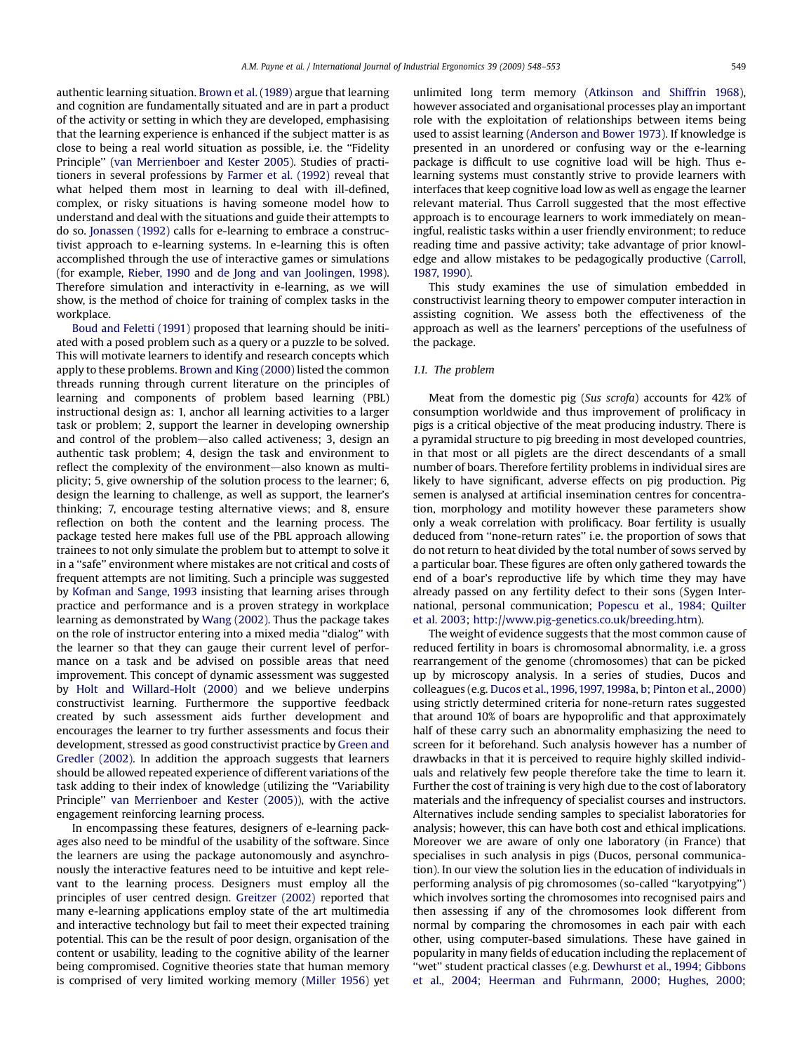authentic learning situation. [Brown et al. \(1989\)](#page--1-0) argue that learning and cognition are fundamentally situated and are in part a product of the activity or setting in which they are developed, emphasising that the learning experience is enhanced if the subject matter is as close to being a real world situation as possible, i.e. the ''Fidelity Principle'' [\(van Merrienboer and Kester 2005](#page--1-0)). Studies of practitioners in several professions by [Farmer et al. \(1992\)](#page--1-0) reveal that what helped them most in learning to deal with ill-defined, complex, or risky situations is having someone model how to understand and deal with the situations and guide their attempts to do so. [Jonassen \(1992\)](#page--1-0) calls for e-learning to embrace a constructivist approach to e-learning systems. In e-learning this is often accomplished through the use of interactive games or simulations (for example, [Rieber, 1990](#page--1-0) and [de Jong and van Joolingen, 1998\)](#page--1-0). Therefore simulation and interactivity in e-learning, as we will show, is the method of choice for training of complex tasks in the workplace.

[Boud and Feletti \(1991\)](#page--1-0) proposed that learning should be initiated with a posed problem such as a query or a puzzle to be solved. This will motivate learners to identify and research concepts which apply to these problems. [Brown and King \(2000\)](#page--1-0) listed the common threads running through current literature on the principles of learning and components of problem based learning (PBL) instructional design as: 1, anchor all learning activities to a larger task or problem; 2, support the learner in developing ownership and control of the problem-also called activeness; 3, design an authentic task problem; 4, design the task and environment to reflect the complexity of the environment-also known as multiplicity; 5, give ownership of the solution process to the learner; 6, design the learning to challenge, as well as support, the learner's thinking; 7, encourage testing alternative views; and 8, ensure reflection on both the content and the learning process. The package tested here makes full use of the PBL approach allowing trainees to not only simulate the problem but to attempt to solve it in a ''safe'' environment where mistakes are not critical and costs of frequent attempts are not limiting. Such a principle was suggested by [Kofman and Sange, 1993](#page--1-0) insisting that learning arises through practice and performance and is a proven strategy in workplace learning as demonstrated by [Wang \(2002\)](#page--1-0). Thus the package takes on the role of instructor entering into a mixed media ''dialog'' with the learner so that they can gauge their current level of performance on a task and be advised on possible areas that need improvement. This concept of dynamic assessment was suggested by [Holt and Willard-Holt \(2000\)](#page--1-0) and we believe underpins constructivist learning. Furthermore the supportive feedback created by such assessment aids further development and encourages the learner to try further assessments and focus their development, stressed as good constructivist practice by [Green and](#page--1-0) [Gredler \(2002\)](#page--1-0). In addition the approach suggests that learners should be allowed repeated experience of different variations of the task adding to their index of knowledge (utilizing the ''Variability Principle'' [van Merrienboer and Kester \(2005\)](#page--1-0)), with the active engagement reinforcing learning process.

In encompassing these features, designers of e-learning packages also need to be mindful of the usability of the software. Since the learners are using the package autonomously and asynchronously the interactive features need to be intuitive and kept relevant to the learning process. Designers must employ all the principles of user centred design. [Greitzer \(2002\)](#page--1-0) reported that many e-learning applications employ state of the art multimedia and interactive technology but fail to meet their expected training potential. This can be the result of poor design, organisation of the content or usability, leading to the cognitive ability of the learner being compromised. Cognitive theories state that human memory is comprised of very limited working memory ([Miller 1956](#page--1-0)) yet unlimited long term memory [\(Atkinson and Shiffrin 1968\)](#page--1-0), however associated and organisational processes play an important role with the exploitation of relationships between items being used to assist learning ([Anderson and Bower 1973\)](#page--1-0). If knowledge is presented in an unordered or confusing way or the e-learning package is difficult to use cognitive load will be high. Thus elearning systems must constantly strive to provide learners with interfaces that keep cognitive load low as well as engage the learner relevant material. Thus Carroll suggested that the most effective approach is to encourage learners to work immediately on meaningful, realistic tasks within a user friendly environment; to reduce reading time and passive activity; take advantage of prior knowledge and allow mistakes to be pedagogically productive [\(Carroll,](#page--1-0) [1987, 1990](#page--1-0)).

This study examines the use of simulation embedded in constructivist learning theory to empower computer interaction in assisting cognition. We assess both the effectiveness of the approach as well as the learners' perceptions of the usefulness of the package.

#### 1.1. The problem

Meat from the domestic pig (Sus scrofa) accounts for 42% of consumption worldwide and thus improvement of prolificacy in pigs is a critical objective of the meat producing industry. There is a pyramidal structure to pig breeding in most developed countries, in that most or all piglets are the direct descendants of a small number of boars. Therefore fertility problems in individual sires are likely to have significant, adverse effects on pig production. Pig semen is analysed at artificial insemination centres for concentration, morphology and motility however these parameters show only a weak correlation with prolificacy. Boar fertility is usually deduced from ''none-return rates'' i.e. the proportion of sows that do not return to heat divided by the total number of sows served by a particular boar. These figures are often only gathered towards the end of a boar's reproductive life by which time they may have already passed on any fertility defect to their sons (Sygen International, personal communication; [Popescu et al., 1984; Quilter](#page--1-0) [et al. 2003;](#page--1-0) [http://www.pig-genetics.co.uk/breeding.htm\)](http://www.pig-genetics.co.uk/breeding.htm).

The weight of evidence suggests that the most common cause of reduced fertility in boars is chromosomal abnormality, i.e. a gross rearrangement of the genome (chromosomes) that can be picked up by microscopy analysis. In a series of studies, Ducos and colleagues (e.g. [Ducos et al., 1996, 1997, 1998a, b; Pinton et al., 2000\)](#page--1-0) using strictly determined criteria for none-return rates suggested that around 10% of boars are hypoprolific and that approximately half of these carry such an abnormality emphasizing the need to screen for it beforehand. Such analysis however has a number of drawbacks in that it is perceived to require highly skilled individuals and relatively few people therefore take the time to learn it. Further the cost of training is very high due to the cost of laboratory materials and the infrequency of specialist courses and instructors. Alternatives include sending samples to specialist laboratories for analysis; however, this can have both cost and ethical implications. Moreover we are aware of only one laboratory (in France) that specialises in such analysis in pigs (Ducos, personal communication). In our view the solution lies in the education of individuals in performing analysis of pig chromosomes (so-called ''karyotpying'') which involves sorting the chromosomes into recognised pairs and then assessing if any of the chromosomes look different from normal by comparing the chromosomes in each pair with each other, using computer-based simulations. These have gained in popularity in many fields of education including the replacement of "wet" student practical classes (e.g. [Dewhurst et al., 1994; Gibbons](#page--1-0) [et al., 2004; Heerman and Fuhrmann, 2000; Hughes, 2000;](#page--1-0)